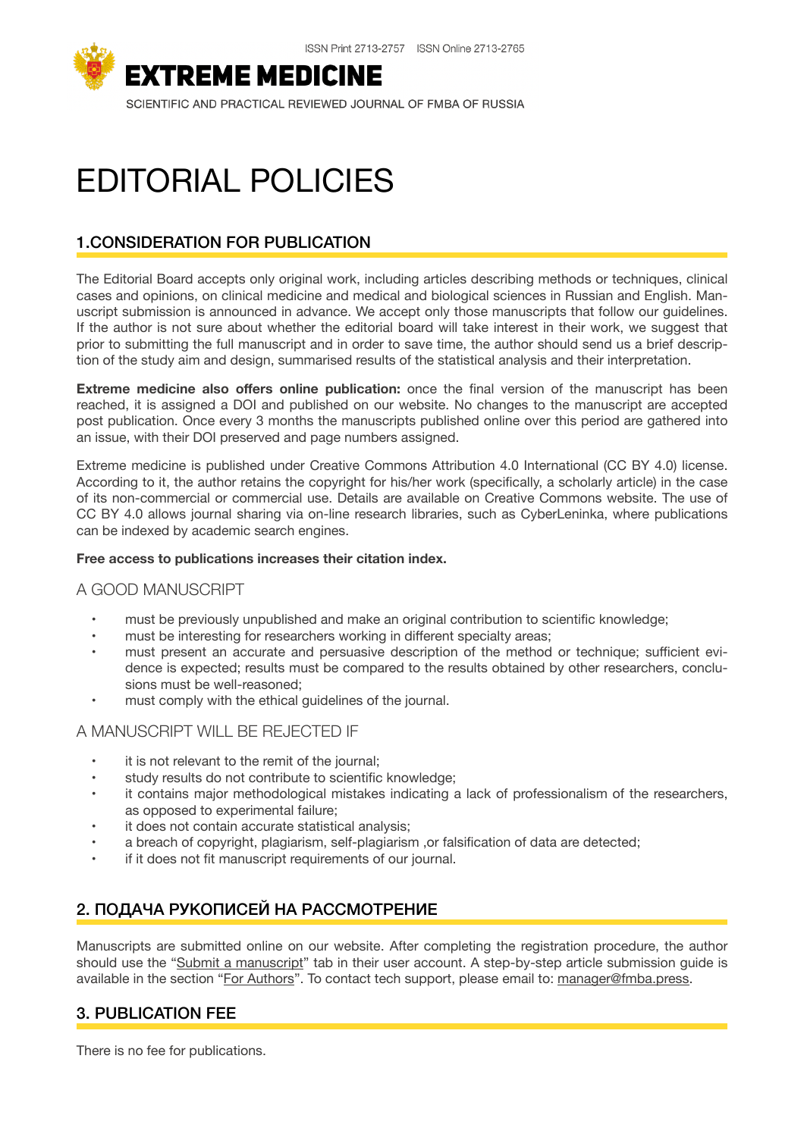

# EDITORIAL POLICIES

# 1.CONSIDERATION FOR PUBLICATION

The Editorial Board accepts only original work, including articles describing methods or techniques, clinical cases and opinions, on clinical medicine and medical and biological sciences in Russian and English. Manuscript submission is announced in advance. We accept only those manuscripts that follow our guidelines. If the author is not sure about whether the editorial board will take interest in their work, we suggest that prior to submitting the full manuscript and in order to save time, the author should send us a brief description of the study aim and design, summarised results of the statistical analysis and their interpretation.

**Extreme medicine also offers online publication:** once the final version of the manuscript has been reached, it is assigned a DOI and published on our website. No changes to the manuscript are accepted post publication. Once every 3 months the manuscripts published online over this period are gathered into an issue, with their DOI preserved and page numbers assigned.

Extreme medicine is published under Creative Commons Attribution 4.0 International (CC BY 4.0) license. According to it, the author retains the copyright for his/her work (specifically, a scholarly article) in the case of its non-commercial or commercial use. Details are available on Creative Commons website. The use of CC BY 4.0 allows journal sharing via on-line research libraries, such as CyberLeninka, where publications can be indexed by academic search engines.

#### **Free access to publications increases their citation index.**

# A GOOD MANUSCRIPT

- must be previously unpublished and make an original contribution to scientific knowledge;
- must be interesting for researchers working in different specialty areas;
- must present an accurate and persuasive description of the method or technique; sufficient evidence is expected; results must be compared to the results obtained by other researchers, conclusions must be well-reasoned;
- must comply with the ethical guidelines of the journal.

# A MANUSCRIPT WILL BE REJECTED IF

- it is not relevant to the remit of the journal;
- study results do not contribute to scientific knowledge;
- it contains major methodological mistakes indicating a lack of professionalism of the researchers, as opposed to experimental failure;
- it does not contain accurate statistical analysis;
- a breach of copyright, plagiarism, self-plagiarism ,or falsification of data are detected;
- if it does not fit manuscript requirements of our journal.

# 2. ПОДАЧА РУКОПИСЕЙ НА РАССМОТРЕНИЕ

Manuscripts are submitted online on our website. After completing the registration procedure, the author should use the "[Submit a manuscript"](https://mes.fmba.press/login?lang=en) tab in their user account. A step-by-step article submission guide is available in the section ["For Authors"](https://mes.fmba.press/guide?lang=en). To contact tech support, please email to: [manager@fmba.press.](mailto:manager@fmba.press)

# 3. PUBLICATION FEE

There is no fee for publications.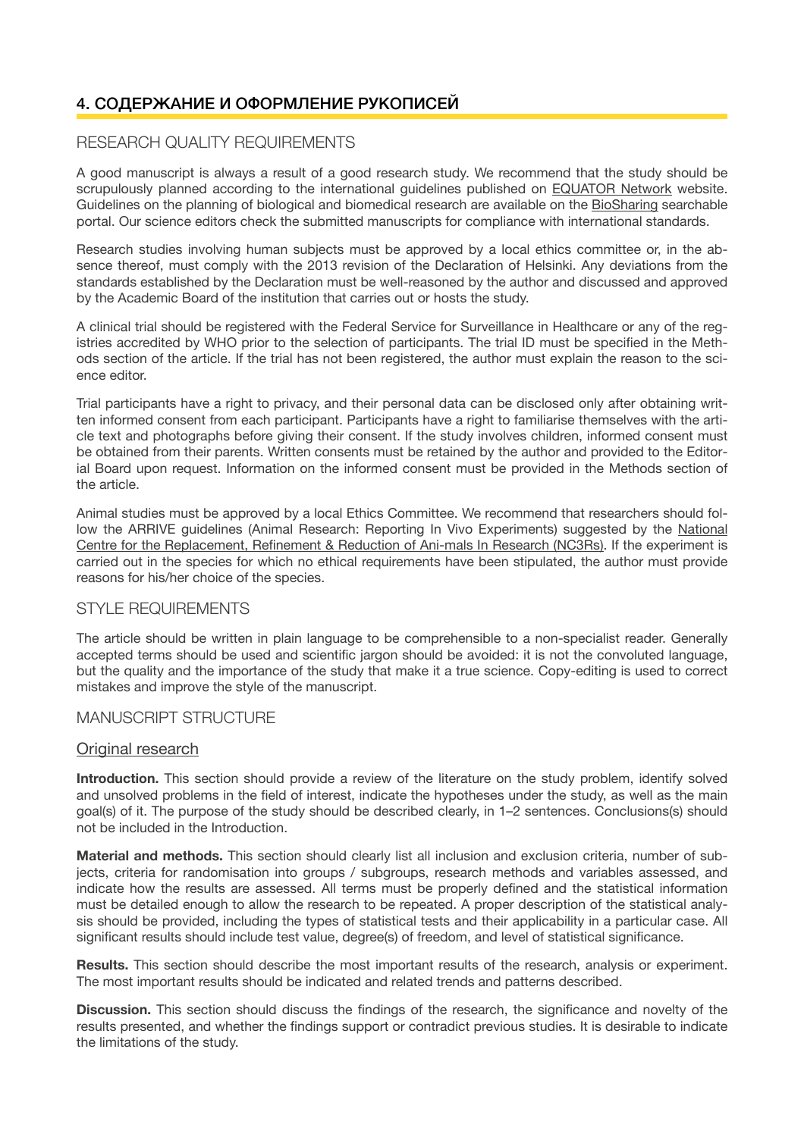# 4. СОДЕРЖАНИЕ И ОФОРМЛЕНИЕ РУКОПИСЕЙ

# RESEARCH QUALITY REQUIREMENTS

A good manuscript is always a result of a good research study. We recommend that the study should be scrupulously planned according to the international guidelines published on [EQUATOR Network](http://www.equator-network.org/) website. Guidelines on the planning of biological and biomedical research are available on the [BioSharing](https://biosharing.org/) searchable portal. Our science editors check the submitted manuscripts for compliance with international standards.

Research studies involving human subjects must be approved by a local ethics committee or, in the absence thereof, must comply with the 2013 revision of the Declaration of Helsinki. Any deviations from the standards established by the Declaration must be well-reasoned by the author and discussed and approved by the Academic Board of the institution that carries out or hosts the study.

A clinical trial should be registered with the Federal Service for Surveillance in Healthcare or any of the registries accredited by WHO prior to the selection of participants. The trial ID must be specified in the Methods section of the article. If the trial has not been registered, the author must explain the reason to the science editor.

Trial participants have a right to privacy, and their personal data can be disclosed only after obtaining written informed consent from each participant. Participants have a right to familiarise themselves with the article text and photographs before giving their consent. If the study involves children, informed consent must be obtained from their parents. Written consents must be retained by the author and provided to the Editorial Board upon request. Information on the informed consent must be provided in the Methods section of the article.

Animal studies must be approved by a local Ethics Committee. We recommend that researchers should follow the ARRIVE guidelines (Animal Research: Reporting In Vivo Experiments) suggested by the [National](http://www.nc3rs.org.uk/)  [Centre for the Replacement, Refinement & Reduction of Ani-mals In Research \(NC3Rs\).](http://www.nc3rs.org.uk/) If the experiment is carried out in the species for which no ethical requirements have been stipulated, the author must provide reasons for his/her choice of the species.

# STYLE REQUIREMENTS

The article should be written in plain language to be comprehensible to a non-specialist reader. Generally accepted terms should be used and scientific jargon should be avoided: it is not the convoluted language, but the quality and the importance of the study that make it a true science. Copy-editing is used to correct mistakes and improve the style of the manuscript.

# MANUSCRIPT STRUCTURE

#### Original research

**Introduction.** This section should provide a review of the literature on the study problem, identify solved and unsolved problems in the field of interest, indicate the hypotheses under the study, as well as the main goal(s) of it. The purpose of the study should be described clearly, in 1–2 sentences. Conclusions(s) should not be included in the Introduction.

**Material and methods.** This section should clearly list all inclusion and exclusion criteria, number of subjects, criteria for randomisation into groups / subgroups, research methods and variables assessed, and indicate how the results are assessed. All terms must be properly defined and the statistical information must be detailed enough to allow the research to be repeated. A proper description of the statistical analysis should be provided, including the types of statistical tests and their applicability in a particular case. All significant results should include test value, degree(s) of freedom, and level of statistical significance.

**Results.** This section should describe the most important results of the research, analysis or experiment. The most important results should be indicated and related trends and patterns described.

**Discussion.** This section should discuss the findings of the research, the significance and novelty of the results presented, and whether the findings support or contradict previous studies. It is desirable to indicate the limitations of the study.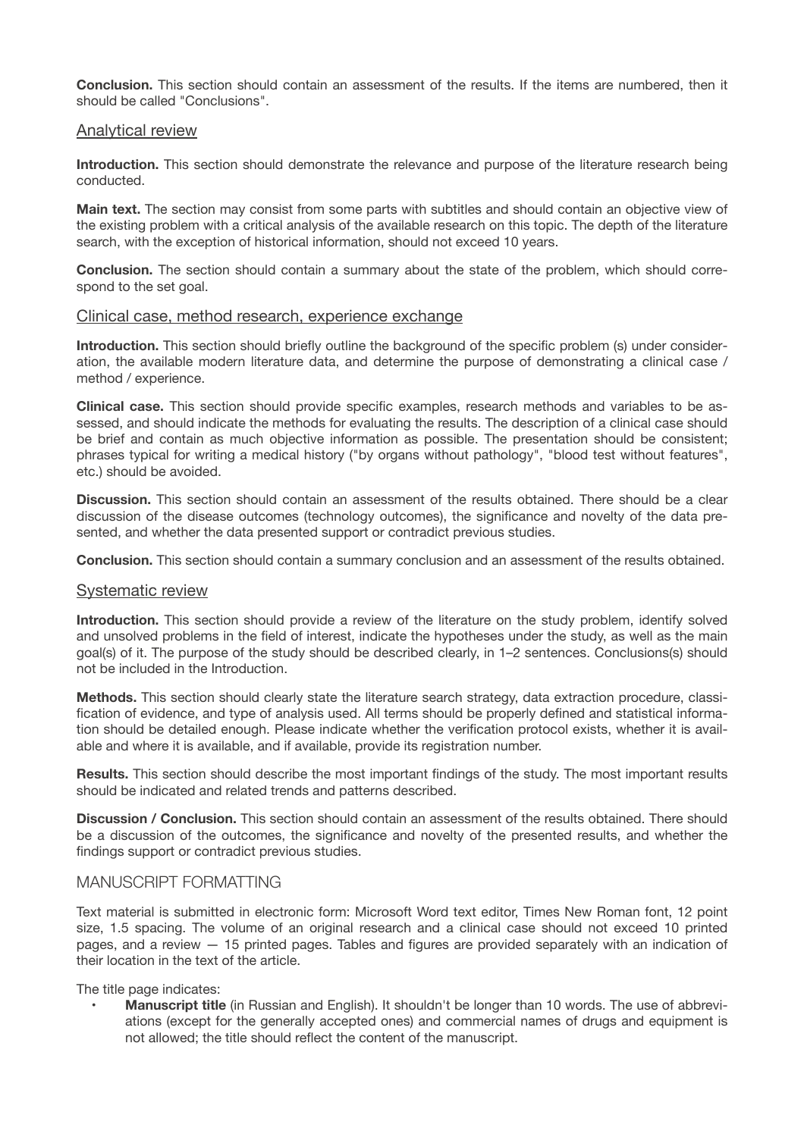**Conclusion.** This section should contain an assessment of the results. If the items are numbered, then it should be called "Conclusions".

#### Analytical review

**Introduction.** This section should demonstrate the relevance and purpose of the literature research being conducted.

**Main text.** The section may consist from some parts with subtitles and should contain an objective view of the existing problem with a critical analysis of the available research on this topic. The depth of the literature search, with the exception of historical information, should not exceed 10 years.

**Conclusion.** The section should contain a summary about the state of the problem, which should correspond to the set goal.

#### Clinical case, method research, experience exchange

**Introduction.** This section should briefly outline the background of the specific problem (s) under consideration, the available modern literature data, and determine the purpose of demonstrating a clinical case / method / experience.

**Clinical case.** This section should provide specific examples, research methods and variables to be assessed, and should indicate the methods for evaluating the results. The description of a clinical case should be brief and contain as much objective information as possible. The presentation should be consistent; phrases typical for writing a medical history ("by organs without pathology", "blood test without features", etc.) should be avoided.

**Discussion.** This section should contain an assessment of the results obtained. There should be a clear discussion of the disease outcomes (technology outcomes), the significance and novelty of the data presented, and whether the data presented support or contradict previous studies.

**Conclusion.** This section should contain a summary conclusion and an assessment of the results obtained.

#### Systematic review

**Introduction.** This section should provide a review of the literature on the study problem, identify solved and unsolved problems in the field of interest, indicate the hypotheses under the study, as well as the main goal(s) of it. The purpose of the study should be described clearly, in 1–2 sentences. Conclusions(s) should not be included in the Introduction.

**Methods.** This section should clearly state the literature search strategy, data extraction procedure, classification of evidence, and type of analysis used. All terms should be properly defined and statistical information should be detailed enough. Please indicate whether the verification protocol exists, whether it is available and where it is available, and if available, provide its registration number.

**Results.** This section should describe the most important findings of the study. The most important results should be indicated and related trends and patterns described.

**Discussion / Conclusion.** This section should contain an assessment of the results obtained. There should be a discussion of the outcomes, the significance and novelty of the presented results, and whether the findings support or contradict previous studies.

# MANUSCRIPT FORMATTING

Text material is submitted in electronic form: Microsoft Word text editor, Times New Roman font, 12 point size, 1.5 spacing. The volume of an original research and a clinical case should not exceed 10 printed pages, and a review — 15 printed pages. Tables and figures are provided separately with an indication of their location in the text of the article.

The title page indicates:

• **Manuscript title** (in Russian and English). It shouldn't be longer than 10 words. The use of abbreviations (except for the generally accepted ones) and commercial names of drugs and equipment is not allowed; the title should reflect the content of the manuscript.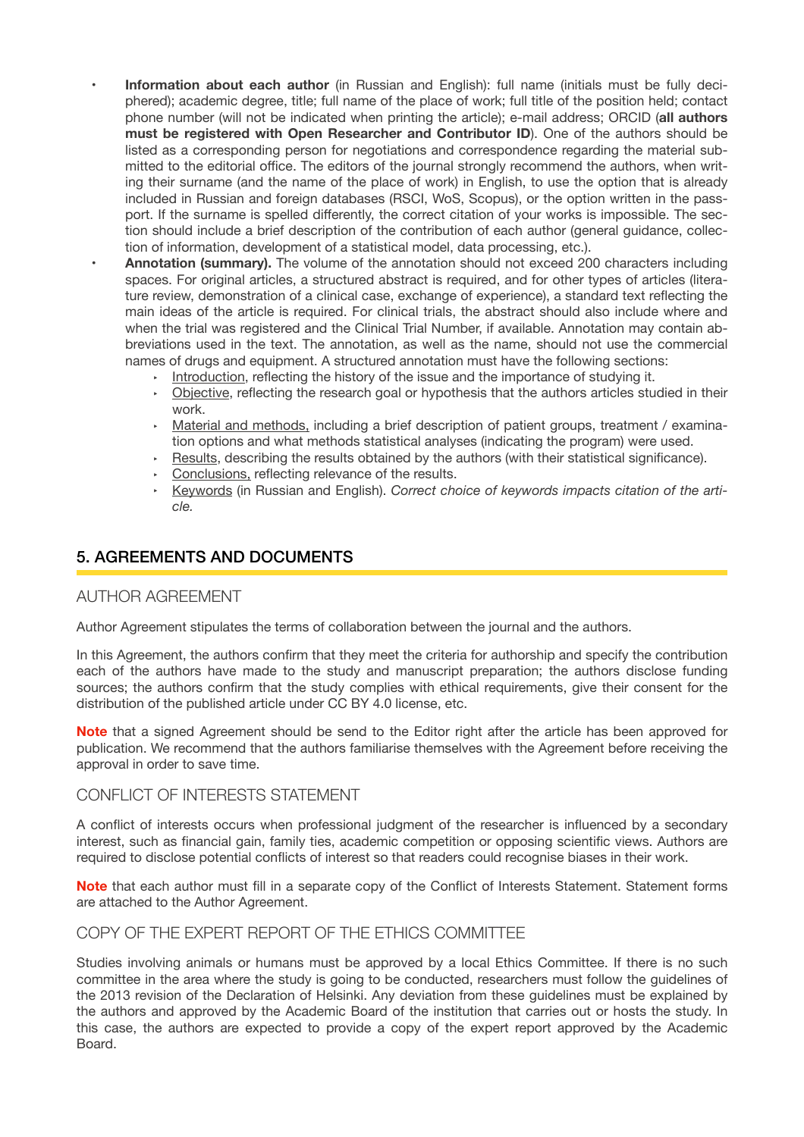• **Information about each author** (in Russian and English): full name (initials must be fully deciphered); academic degree, title; full name of the place of work; full title of the position held; contact phone number (will not be indicated when printing the article); e-mail address; ORCID (**all authors must be registered with Open Researcher and Contributor ID**). One of the authors should be listed as a corresponding person for negotiations and correspondence regarding the material submitted to the editorial office. The editors of the journal strongly recommend the authors, when writing their surname (and the name of the place of work) in English, to use the option that is already included in Russian and foreign databases (RSCI, WoS, Scopus), or the option written in the passport. If the surname is spelled differently, the correct citation of your works is impossible. The section should include a brief description of the contribution of each author (general guidance, collection of information, development of a statistical model, data processing, etc.).

• **Annotation (summary).** The volume of the annotation should not exceed 200 characters including spaces. For original articles, a structured abstract is required, and for other types of articles (literature review, demonstration of a clinical case, exchange of experience), a standard text reflecting the main ideas of the article is required. For clinical trials, the abstract should also include where and when the trial was registered and the Clinical Trial Number, if available. Annotation may contain abbreviations used in the text. The annotation, as well as the name, should not use the commercial names of drugs and equipment. A structured annotation must have the following sections:

- Introduction, reflecting the history of the issue and the importance of studying it.
- ‣ Objective, reflecting the research goal or hypothesis that the authors articles studied in their work.
- **Material and methods**, including a brief description of patient groups, treatment / examination options and what methods statistical analyses (indicating the program) were used.
- $\cdot$  Results, describing the results obtained by the authors (with their statistical significance).
- ‣ Conclusions, reflecting relevance of the results.
- ‣ Keywords (in Russian and English). *Correct choice of keywords impacts citation of the article.*

# 5. AGREEMENTS AND DOCUMENTS

#### AUTHOR AGREEMENT

Author Agreement stipulates the terms of collaboration between the journal and the authors.

In this Agreement, the authors confirm that they meet the criteria for authorship and specify the contribution each of the authors have made to the study and manuscript preparation; the authors disclose funding sources; the authors confirm that the study complies with ethical requirements, give their consent for the distribution of the published article under CC BY 4.0 license, etc.

**Note** that a signed Agreement should be send to the Editor right after the article has been approved for publication. We recommend that the authors familiarise themselves with the Agreement before receiving the approval in order to save time.

# CONFLICT OF INTERESTS STATEMENT

A conflict of interests occurs when professional judgment of the researcher is influenced by a secondary interest, such as financial gain, family ties, academic competition or opposing scientific views. Authors are required to disclose potential conflicts of interest so that readers could recognise biases in their work.

**Note** that each author must fill in a separate copy of the Conflict of Interests Statement. Statement forms are attached to the Author Agreement.

# COPY OF THE EXPERT REPORT OF THE ETHICS COMMITTEE

Studies involving animals or humans must be approved by a local Ethics Committee. If there is no such committee in the area where the study is going to be conducted, researchers must follow the guidelines of the 2013 revision of the Declaration of Helsinki. Any deviation from these guidelines must be explained by the authors and approved by the Academic Board of the institution that carries out or hosts the study. In this case, the authors are expected to provide a copy of the expert report approved by the Academic Board.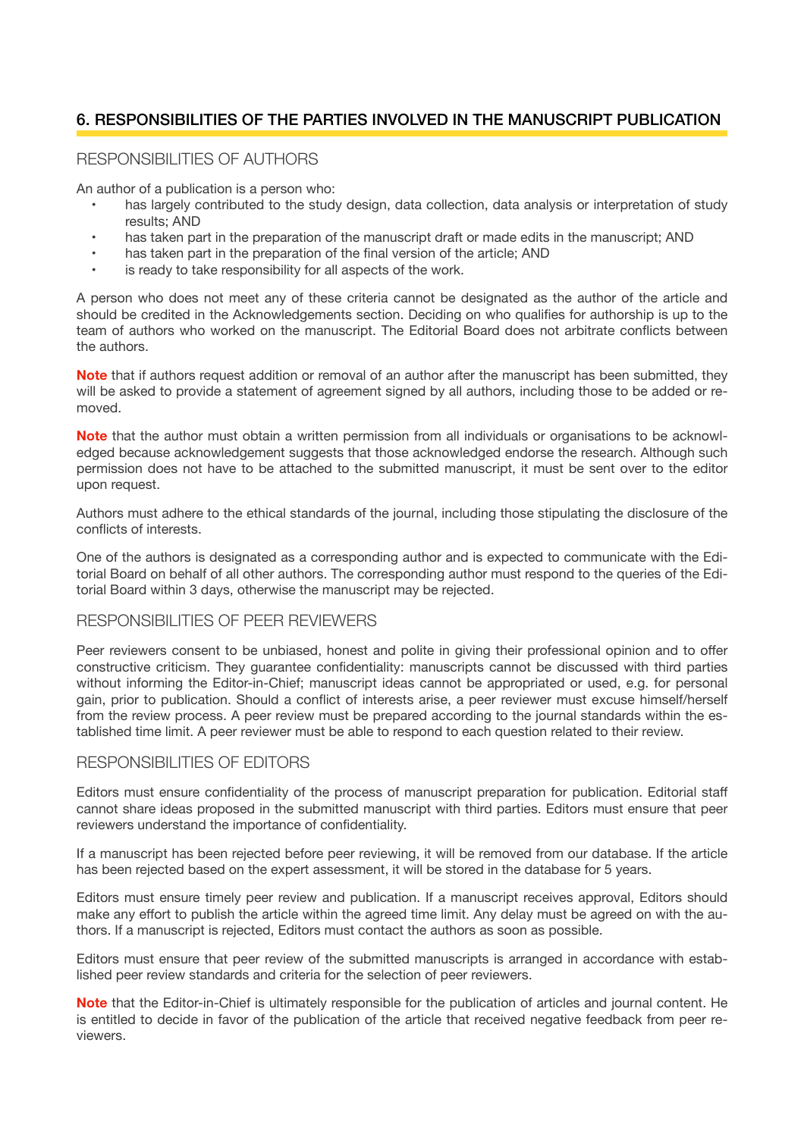# 6. RESPONSIBILITIES OF THE PARTIES INVOLVED IN THE MANUSCRIPT PUBLICATION

# RESPONSIBILITIES OF AUTHORS

An author of a publication is a person who:

- has largely contributed to the study design, data collection, data analysis or interpretation of study results; AND
- has taken part in the preparation of the manuscript draft or made edits in the manuscript; AND
- has taken part in the preparation of the final version of the article: AND
- is ready to take responsibility for all aspects of the work.

A person who does not meet any of these criteria cannot be designated as the author of the article and should be credited in the Acknowledgements section. Deciding on who qualifies for authorship is up to the team of authors who worked on the manuscript. The Editorial Board does not arbitrate conflicts between the authors.

**Note** that if authors request addition or removal of an author after the manuscript has been submitted, they will be asked to provide a statement of agreement signed by all authors, including those to be added or removed.

**Note** that the author must obtain a written permission from all individuals or organisations to be acknowledged because acknowledgement suggests that those acknowledged endorse the research. Although such permission does not have to be attached to the submitted manuscript, it must be sent over to the editor upon request.

Authors must adhere to the ethical standards of the journal, including those stipulating the disclosure of the conflicts of interests.

One of the authors is designated as a corresponding author and is expected to communicate with the Editorial Board on behalf of all other authors. The corresponding author must respond to the queries of the Editorial Board within 3 days, otherwise the manuscript may be rejected.

# RESPONSIBILITIES OF PEER REVIEWERS

Peer reviewers consent to be unbiased, honest and polite in giving their professional opinion and to offer constructive criticism. They guarantee confidentiality: manuscripts cannot be discussed with third parties without informing the Editor-in-Chief; manuscript ideas cannot be appropriated or used, e.g. for personal gain, prior to publication. Should a conflict of interests arise, a peer reviewer must excuse himself/herself from the review process. A peer review must be prepared according to the journal standards within the established time limit. A peer reviewer must be able to respond to each question related to their review.

#### RESPONSIBILITIES OF EDITORS

Editors must ensure confidentiality of the process of manuscript preparation for publication. Editorial staff cannot share ideas proposed in the submitted manuscript with third parties. Editors must ensure that peer reviewers understand the importance of confidentiality.

If a manuscript has been rejected before peer reviewing, it will be removed from our database. If the article has been rejected based on the expert assessment, it will be stored in the database for 5 years.

Editors must ensure timely peer review and publication. If a manuscript receives approval, Editors should make any effort to publish the article within the agreed time limit. Any delay must be agreed on with the authors. If a manuscript is rejected, Editors must contact the authors as soon as possible.

Editors must ensure that peer review of the submitted manuscripts is arranged in accordance with established peer review standards and criteria for the selection of peer reviewers.

**Note** that the Editor-in-Chief is ultimately responsible for the publication of articles and journal content. He is entitled to decide in favor of the publication of the article that received negative feedback from peer reviewers.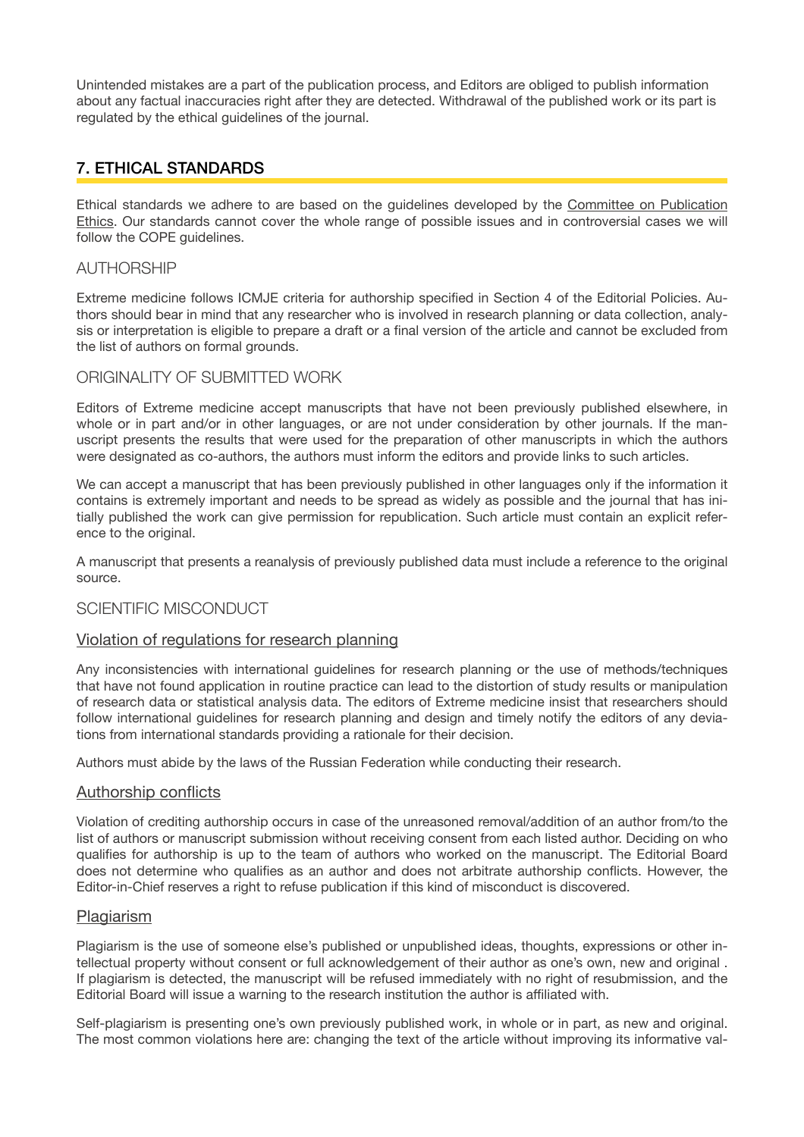Unintended mistakes are a part of the publication process, and Editors are obliged to publish information about any factual inaccuracies right after they are detected. Withdrawal of the published work or its part is regulated by the ethical guidelines of the journal.

# 7. ETHICAL STANDARDS

Ethical standards we adhere to are based on the guidelines developed by the [Committee on Publication](http://publicationethics.org/)  [Ethics](http://publicationethics.org/). Our standards cannot cover the whole range of possible issues and in controversial cases we will follow the COPE quidelines.

# AUTHORSHIP

Extreme medicine follows ICMJE criteria for authorship specified in Section 4 of the Editorial Policies. Authors should bear in mind that any researcher who is involved in research planning or data collection, analysis or interpretation is eligible to prepare a draft or a final version of the article and cannot be excluded from the list of authors on formal grounds.

### ORIGINALITY OF SUBMITTED WORK

Editors of Extreme medicine accept manuscripts that have not been previously published elsewhere, in whole or in part and/or in other languages, or are not under consideration by other journals. If the manuscript presents the results that were used for the preparation of other manuscripts in which the authors were designated as co-authors, the authors must inform the editors and provide links to such articles.

We can accept a manuscript that has been previously published in other languages only if the information it contains is extremely important and needs to be spread as widely as possible and the journal that has initially published the work can give permission for republication. Such article must contain an explicit reference to the original.

A manuscript that presents a reanalysis of previously published data must include a reference to the original source.

# SCIENTIFIC MISCONDUCT

#### Violation of regulations for research planning

Any inconsistencies with international guidelines for research planning or the use of methods/techniques that have not found application in routine practice can lead to the distortion of study results or manipulation of research data or statistical analysis data. The editors of Extreme medicine insist that researchers should follow international guidelines for research planning and design and timely notify the editors of any deviations from international standards providing a rationale for their decision.

Authors must abide by the laws of the Russian Federation while conducting their research.

#### Authorship conflicts

Violation of crediting authorship occurs in case of the unreasoned removal/addition of an author from/to the list of authors or manuscript submission without receiving consent from each listed author. Deciding on who qualifies for authorship is up to the team of authors who worked on the manuscript. The Editorial Board does not determine who qualifies as an author and does not arbitrate authorship conflicts. However, the Editor-in-Chief reserves a right to refuse publication if this kind of misconduct is discovered.

#### **Plagiarism**

Plagiarism is the use of someone else's published or unpublished ideas, thoughts, expressions or other intellectual property without consent or full acknowledgement of their author as one's own, new and original . If plagiarism is detected, the manuscript will be refused immediately with no right of resubmission, and the Editorial Board will issue a warning to the research institution the author is affiliated with.

Self-plagiarism is presenting one's own previously published work, in whole or in part, as new and original. The most common violations here are: changing the text of the article without improving its informative val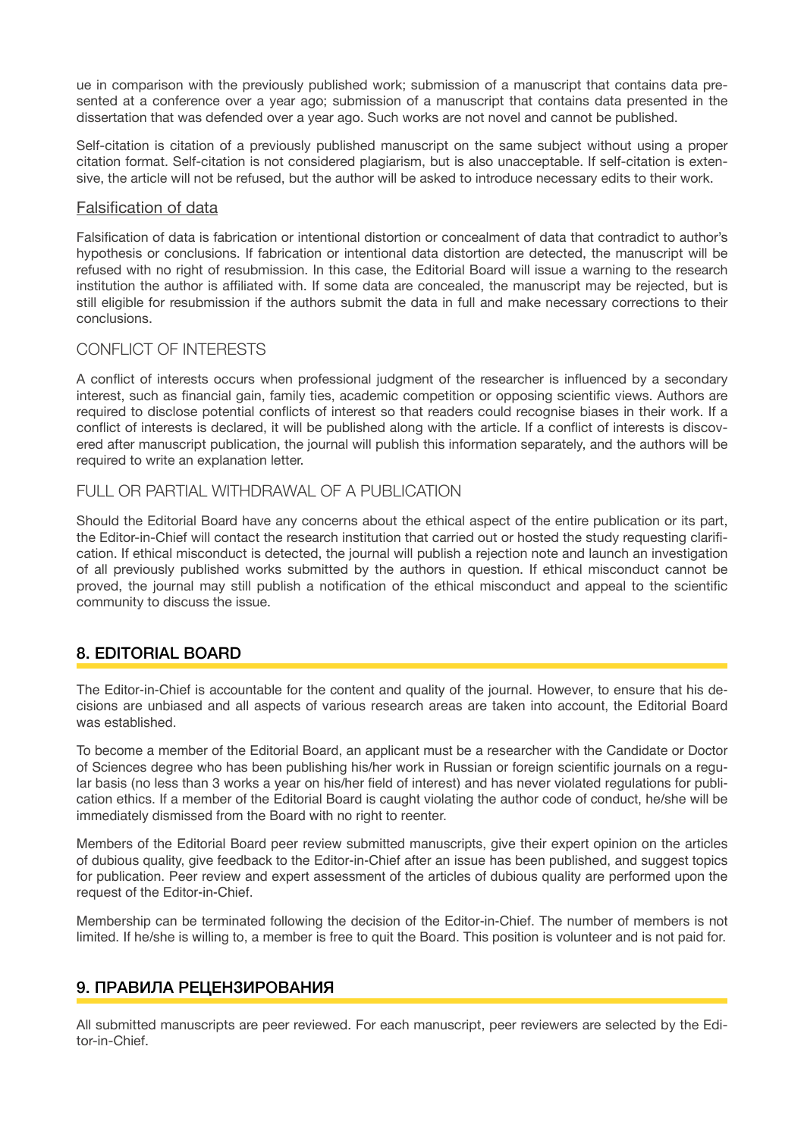ue in comparison with the previously published work; submission of a manuscript that contains data presented at a conference over a year ago; submission of a manuscript that contains data presented in the dissertation that was defended over a year ago. Such works are not novel and cannot be published.

Self-citation is citation of a previously published manuscript on the same subject without using a proper citation format. Self-citation is not considered plagiarism, but is also unacceptable. If self-citation is extensive, the article will not be refused, but the author will be asked to introduce necessary edits to their work.

## Falsification of data

Falsification of data is fabrication or intentional distortion or concealment of data that contradict to author's hypothesis or conclusions. If fabrication or intentional data distortion are detected, the manuscript will be refused with no right of resubmission. In this case, the Editorial Board will issue a warning to the research institution the author is affiliated with. If some data are concealed, the manuscript may be rejected, but is still eligible for resubmission if the authors submit the data in full and make necessary corrections to their conclusions.

# CONFLICT OF INTERESTS

A conflict of interests occurs when professional judgment of the researcher is influenced by a secondary interest, such as financial gain, family ties, academic competition or opposing scientific views. Authors are required to disclose potential conflicts of interest so that readers could recognise biases in their work. If a conflict of interests is declared, it will be published along with the article. If a conflict of interests is discovered after manuscript publication, the journal will publish this information separately, and the authors will be required to write an explanation letter.

# FULL OR PARTIAL WITHDRAWAL OF A PUBLICATION

Should the Editorial Board have any concerns about the ethical aspect of the entire publication or its part, the Editor-in-Chief will contact the research institution that carried out or hosted the study requesting clarifcation. If ethical misconduct is detected, the journal will publish a rejection note and launch an investigation of all previously published works submitted by the authors in question. If ethical misconduct cannot be proved, the journal may still publish a notification of the ethical misconduct and appeal to the scientific community to discuss the issue.

# 8. EDITORIAL BOARD

The Editor-in-Chief is accountable for the content and quality of the journal. However, to ensure that his decisions are unbiased and all aspects of various research areas are taken into account, the Editorial Board was established.

To become a member of the Editorial Board, an applicant must be a researcher with the Candidate or Doctor of Sciences degree who has been publishing his/her work in Russian or foreign scientific journals on a regular basis (no less than 3 works a year on his/her field of interest) and has never violated regulations for publication ethics. If a member of the Editorial Board is caught violating the author code of conduct, he/she will be immediately dismissed from the Board with no right to reenter.

Members of the Editorial Board peer review submitted manuscripts, give their expert opinion on the articles of dubious quality, give feedback to the Editor-in-Chief after an issue has been published, and suggest topics for publication. Peer review and expert assessment of the articles of dubious quality are performed upon the request of the Editor-in-Chief.

Membership can be terminated following the decision of the Editor-in-Chief. The number of members is not limited. If he/she is willing to, a member is free to quit the Board. This position is volunteer and is not paid for.

# 9. ПРАВИЛА РЕЦЕНЗИРОВАНИЯ

All submitted manuscripts are peer reviewed. For each manuscript, peer reviewers are selected by the Editor-in-Chief.